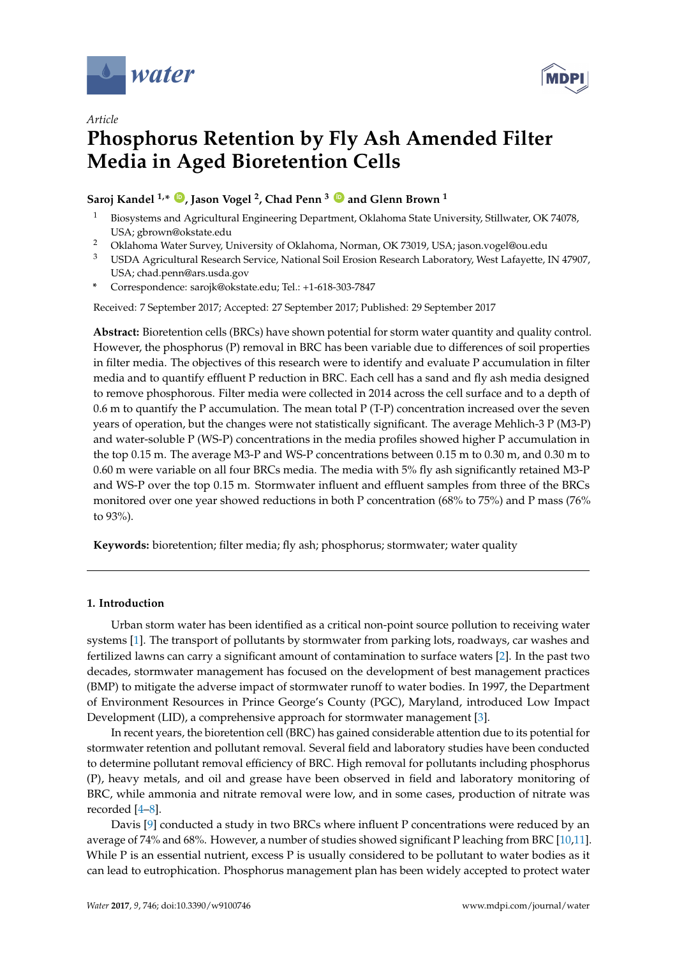

*Article*



# **Phosphorus Retention by Fly Ash Amended Filter Media in Aged Bioretention Cells**

## **Saroj Kandel 1,\* [ID](https://orcid.org/0000-0002-8565-0381) , Jason Vogel <sup>2</sup> , Chad Penn <sup>3</sup> [ID](https://orcid.org/0000-0003-2644-6097) and Glenn Brown <sup>1</sup>**

- <sup>1</sup> Biosystems and Agricultural Engineering Department, Oklahoma State University, Stillwater, OK 74078, USA; gbrown@okstate.edu
- <sup>2</sup> Oklahoma Water Survey, University of Oklahoma, Norman, OK 73019, USA; jason.vogel@ou.edu
- <sup>3</sup> USDA Agricultural Research Service, National Soil Erosion Research Laboratory, West Lafayette, IN 47907, USA; chad.penn@ars.usda.gov
- **\*** Correspondence: sarojk@okstate.edu; Tel.: +1-618-303-7847

Received: 7 September 2017; Accepted: 27 September 2017; Published: 29 September 2017

**Abstract:** Bioretention cells (BRCs) have shown potential for storm water quantity and quality control. However, the phosphorus (P) removal in BRC has been variable due to differences of soil properties in filter media. The objectives of this research were to identify and evaluate P accumulation in filter media and to quantify effluent P reduction in BRC. Each cell has a sand and fly ash media designed to remove phosphorous. Filter media were collected in 2014 across the cell surface and to a depth of 0.6 m to quantify the P accumulation. The mean total P (T-P) concentration increased over the seven years of operation, but the changes were not statistically significant. The average Mehlich-3 P (M3-P) and water-soluble P (WS-P) concentrations in the media profiles showed higher P accumulation in the top 0.15 m. The average M3-P and WS-P concentrations between 0.15 m to 0.30 m, and 0.30 m to 0.60 m were variable on all four BRCs media. The media with 5% fly ash significantly retained M3-P and WS-P over the top 0.15 m. Stormwater influent and effluent samples from three of the BRCs monitored over one year showed reductions in both P concentration (68% to 75%) and P mass (76% to 93%).

**Keywords:** bioretention; filter media; fly ash; phosphorus; stormwater; water quality

### **1. Introduction**

Urban storm water has been identified as a critical non-point source pollution to receiving water systems [\[1\]](#page-10-0). The transport of pollutants by stormwater from parking lots, roadways, car washes and fertilized lawns can carry a significant amount of contamination to surface waters [\[2\]](#page-10-1). In the past two decades, stormwater management has focused on the development of best management practices (BMP) to mitigate the adverse impact of stormwater runoff to water bodies. In 1997, the Department of Environment Resources in Prince George's County (PGC), Maryland, introduced Low Impact Development (LID), a comprehensive approach for stormwater management [\[3\]](#page-10-2).

In recent years, the bioretention cell (BRC) has gained considerable attention due to its potential for stormwater retention and pollutant removal. Several field and laboratory studies have been conducted to determine pollutant removal efficiency of BRC. High removal for pollutants including phosphorus (P), heavy metals, and oil and grease have been observed in field and laboratory monitoring of BRC, while ammonia and nitrate removal were low, and in some cases, production of nitrate was recorded [\[4](#page-11-0)[–8\]](#page-11-1).

Davis [\[9\]](#page-11-2) conducted a study in two BRCs where influent P concentrations were reduced by an average of 74% and 68%. However, a number of studies showed significant P leaching from BRC [\[10](#page-11-3)[,11\]](#page-11-4). While P is an essential nutrient, excess P is usually considered to be pollutant to water bodies as it can lead to eutrophication. Phosphorus management plan has been widely accepted to protect water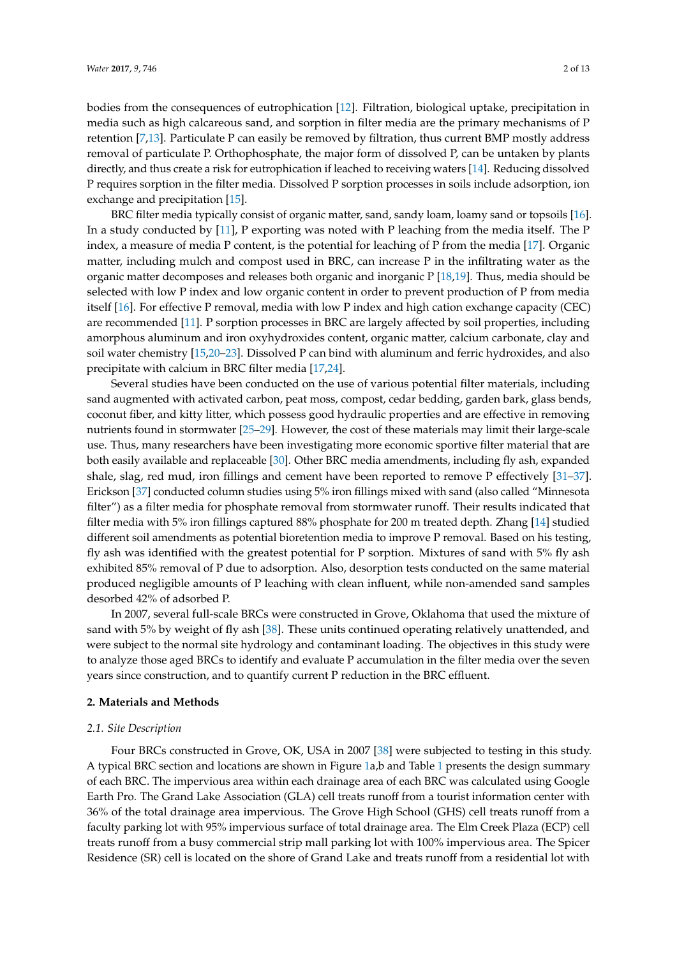bodies from the consequences of eutrophication [\[12\]](#page-11-5). Filtration, biological uptake, precipitation in media such as high calcareous sand, and sorption in filter media are the primary mechanisms of P retention [\[7](#page-11-6)[,13\]](#page-11-7). Particulate P can easily be removed by filtration, thus current BMP mostly address removal of particulate P. Orthophosphate, the major form of dissolved P, can be untaken by plants directly, and thus create a risk for eutrophication if leached to receiving waters [\[14\]](#page-11-8). Reducing dissolved P requires sorption in the filter media. Dissolved P sorption processes in soils include adsorption, ion exchange and precipitation [\[15\]](#page-11-9).

BRC filter media typically consist of organic matter, sand, sandy loam, loamy sand or topsoils [\[16\]](#page-11-10). In a study conducted by [\[11\]](#page-11-4), P exporting was noted with P leaching from the media itself. The P index, a measure of media P content, is the potential for leaching of P from the media [\[17\]](#page-11-11). Organic matter, including mulch and compost used in BRC, can increase P in the infiltrating water as the organic matter decomposes and releases both organic and inorganic P [\[18,](#page-11-12)[19\]](#page-11-13). Thus, media should be selected with low P index and low organic content in order to prevent production of P from media itself [\[16\]](#page-11-10). For effective P removal, media with low P index and high cation exchange capacity (CEC) are recommended [\[11\]](#page-11-4). P sorption processes in BRC are largely affected by soil properties, including amorphous aluminum and iron oxyhydroxides content, organic matter, calcium carbonate, clay and soil water chemistry [\[15](#page-11-9)[,20](#page-11-14)[–23\]](#page-11-15). Dissolved P can bind with aluminum and ferric hydroxides, and also precipitate with calcium in BRC filter media [\[17,](#page-11-11)[24\]](#page-11-16).

Several studies have been conducted on the use of various potential filter materials, including sand augmented with activated carbon, peat moss, compost, cedar bedding, garden bark, glass bends, coconut fiber, and kitty litter, which possess good hydraulic properties and are effective in removing nutrients found in stormwater [\[25–](#page-11-17)[29\]](#page-11-18). However, the cost of these materials may limit their large-scale use. Thus, many researchers have been investigating more economic sportive filter material that are both easily available and replaceable [\[30\]](#page-12-0). Other BRC media amendments, including fly ash, expanded shale, slag, red mud, iron fillings and cement have been reported to remove P effectively [\[31–](#page-12-1)[37\]](#page-12-2). Erickson [\[37\]](#page-12-2) conducted column studies using 5% iron fillings mixed with sand (also called "Minnesota filter") as a filter media for phosphate removal from stormwater runoff. Their results indicated that filter media with 5% iron fillings captured 88% phosphate for 200 m treated depth. Zhang [\[14\]](#page-11-8) studied different soil amendments as potential bioretention media to improve P removal. Based on his testing, fly ash was identified with the greatest potential for P sorption. Mixtures of sand with 5% fly ash exhibited 85% removal of P due to adsorption. Also, desorption tests conducted on the same material produced negligible amounts of P leaching with clean influent, while non-amended sand samples desorbed 42% of adsorbed P.

In 2007, several full-scale BRCs were constructed in Grove, Oklahoma that used the mixture of sand with 5% by weight of fly ash [\[38\]](#page-12-3). These units continued operating relatively unattended, and were subject to the normal site hydrology and contaminant loading. The objectives in this study were to analyze those aged BRCs to identify and evaluate P accumulation in the filter media over the seven years since construction, and to quantify current P reduction in the BRC effluent.

#### **2. Materials and Methods**

#### *2.1. Site Description*

Four BRCs constructed in Grove, OK, USA in 2007 [\[38\]](#page-12-3) were subjected to testing in this study. A typical BRC section and locations are shown in Figure [1a](#page-2-0),b and Table [1](#page-2-1) presents the design summary of each BRC. The impervious area within each drainage area of each BRC was calculated using Google Earth Pro. The Grand Lake Association (GLA) cell treats runoff from a tourist information center with 36% of the total drainage area impervious. The Grove High School (GHS) cell treats runoff from a faculty parking lot with 95% impervious surface of total drainage area. The Elm Creek Plaza (ECP) cell treats runoff from a busy commercial strip mall parking lot with 100% impervious area. The Spicer Residence (SR) cell is located on the shore of Grand Lake and treats runoff from a residential lot with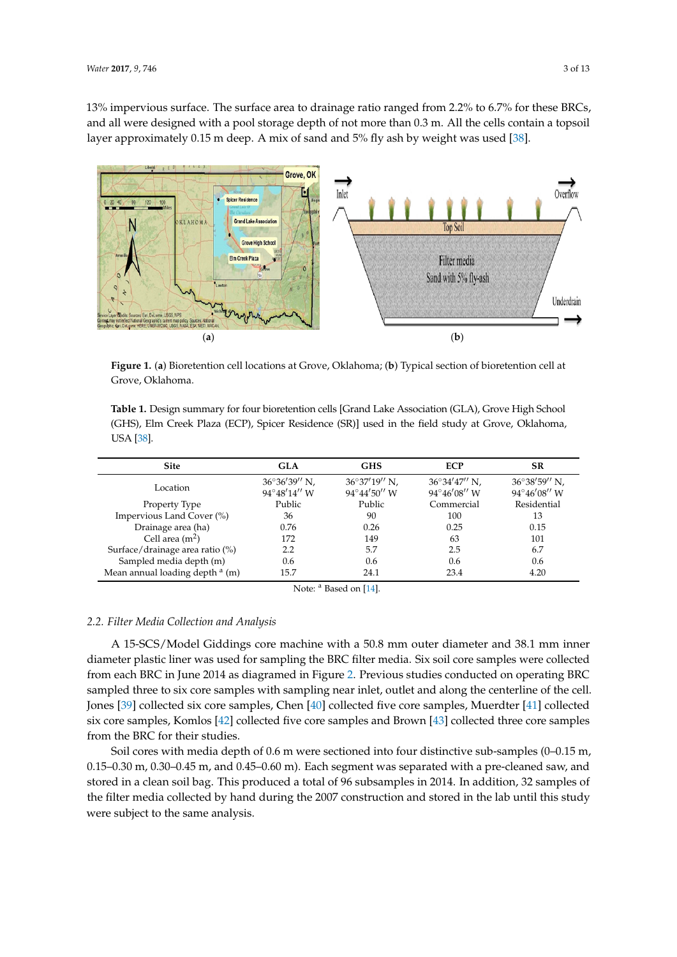13% impervious surface. The surface area to drainage ratio ranged from 2.2% to 6.7% for these BRCs, and all were designed with a pool storage depth of not more than  $0.3$  m. All the cells contain a topsoil  $\frac{1}{10}$ layer approximately 0.15 m deep. A mix of sand and 5% fly ash by weight was used [\[38\]](#page-12-3). [38].

<span id="page-2-0"></span>

Figure 1. (a) Bioretention cell locations at Grove, Oklahoma; (b) Typical section of bioretention cell at Grove, Oklahoma. Grove, Oklahoma.

<span id="page-2-1"></span>**Table 1.** Design summary for four bioretention cells [Grand Lake Association (GLA), Grove High **Table 1.** Design summary for four bioretention cells [Grand Lake Association (GLA), Grove High School School (GHS), Elm Creek Plaza (ECP), Spicer Residence (SR)] used in the field study at Grove, (GHS), Elm Creek Plaza (ECP), Spicer Residence (SR)] used in the field study at Grove, Oklahoma,  $USA [38]$  $USA [38]$ .

| <b>Site</b>                                | <b>GLA</b>                            | <b>GHS</b>                            | <b>ECP</b>                                      | <b>SR</b>                             |
|--------------------------------------------|---------------------------------------|---------------------------------------|-------------------------------------------------|---------------------------------------|
| Location                                   | $36^{\circ}36'39''$ N,<br>94°48'14" W | $36^{\circ}37'19''$ N,<br>94°44'50" W | $36^{\circ}34'47''$ N,<br>$94^{\circ}46'08''$ W | $36^{\circ}38'59''$ N,<br>94°46'08" W |
| Property Type                              | Public                                | Public                                | Commercial                                      | Residential                           |
| Impervious Land Cover (%)                  | 36                                    | 90                                    | 100                                             | 13                                    |
| Drainage area (ha)                         | 0.76                                  | 0.26                                  | 0.25                                            | 0.15                                  |
| Cell area $(m2)$                           | 172                                   | 149                                   | 63                                              | 101                                   |
| Surface/drainage area ratio (%)            | 2.2                                   | 5.7                                   | 2.5                                             | 6.7                                   |
| Sampled media depth (m)                    | 0.6                                   | 0.6                                   | 0.6                                             | 0.6                                   |
| Mean annual loading depth <sup>a</sup> (m) | 15.7                                  | 24.1                                  | 23.4                                            | 4.20                                  |

Note: <sup>a</sup> Based on [\[14\]](#page-11-8).

#### *2.2. Filter Media Collection and Analysis 2.2. Filter Media Collection and Analysis*

A 15-SCS/Model Giddings core machine with a 50.8 mm outer diameter and 38.1 mm inner A 15-SCS/Model Giddings core machine with a 50.8 mm outer diameter and 38.1 mm inner diameter plastic liner was used for sampling the BRC filter media. Six soil core samples were collected diameter plastic liner was used for sampling the BRC filter media. Six soil core samples were collected from each BRC in June 2014 as diagramed in Figur[e 2](#page-3-0). Previous studies conducted on operating BRC from each BRC in June 2014 as diagramed in Figure 2. Previous studies conducted on operating BRC sampled three to six core samples with sampling near inlet, outlet and along the centerline of the cell. sampled three to six core samples with sampling near inlet, outlet and along the centerline of the cell. Jones [39] collected six core samples, Chen [40] collected five core samples, Muerdter [41] collected Jones [\[39\]](#page-12-4) collected six core samples, Chen [\[40\]](#page-12-5) collected five core samples, Muerdter [\[41\]](#page-12-6) collected six core samples, Komlos [42] collected five core samples and Brown [43] collected three core samples six core samples, Komlos [\[42\]](#page-12-7) collected five core samples and Brown [\[43\]](#page-12-8) collected three core samples from the BRC for their studies. from the BRC for their studies.

Soil cores with media depth of 0.6 m were sectioned into four distinctive sub-samples (0–0.15 m, Soil cores with media depth of 0.6 m were sectioned into four distinctive sub-samples (0–0.15 m, 0.15–0.30 m, 0.30–0.45 m, and 0.45–0.60 m). Each segment was separated with a pre-cleaned saw, and 0.15–0.30 m, 0.30–0.45 m, and 0.45–0.60 m). Each segment was separated with a pre-cleaned saw, and stored in a clean soil bag. This produced a total of 96 subsamples in 2014. In addition, 32 samples of stored in a clean soil bag. This produced a total of 96 subsamples in 2014. In addition, 32 samples of the filter media collected by hand during the 2007 construction and stored in the lab until this study the filter media collected by hand during the 2007 construction and stored in the lab until this study were subject to the same analysis. were subject to the same analysis.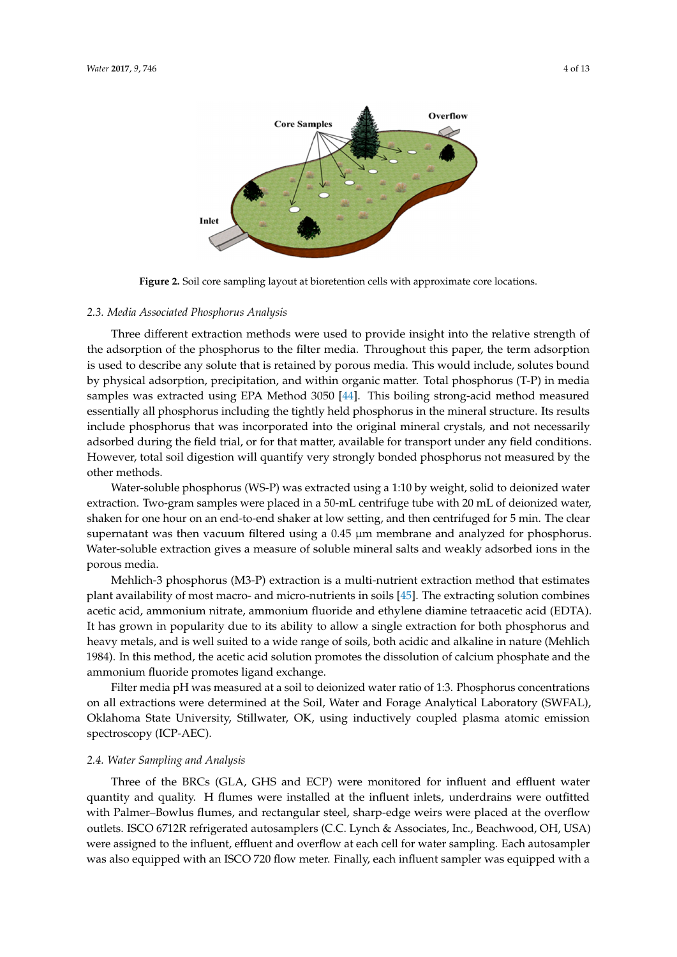<span id="page-3-0"></span>

**Figure 2.** Soil core sampling layout at bioretention cells with approximate core locations. **Figure 2.** Soil core sampling layout at bioretention cells with approximate core locations.

# *2.3. Media Associated Phosphorus Analysis 2.3. Media Associated Phosphorus Analysis*

Three different extraction methods were used to provide insight into the relative strength of the adsorption of the phosphorus to the filter media. Throughout this paper, the term adsorption the adsorption It is used to describe any solute that is retained by porous media. This would include, solutes bound is used to describe any solute that is retained by porous media. This would include, solutes bound physical adsorption, precipitation, and within organic matter. Total phosphorus (T-P) in media by physical adsorption, precipitation, and within organic matter. Total phosphorus (T-P) in media samples was extracted using EPA Method 3050 [44]. This boiling strong-acid method measured samples was extracted using EPA Method 3050 [\[44\]](#page-12-9). This boiling strong-acid method measured essentially all phosphorus including the tightly held phosphorus in the mineral structure. Its results essentially all phosphorus including the tightly held phosphorus in the mineral structure. Its results include phosphorus that was incorporated into the original mineral crystals, and not necessarily include phosphorus that was incorporated into the original mineral crystals, and not necessarily adsorbed during the field trial, or for that matter, available for transport under any field conditions. adsorbed during the field trial, or for that matter, available for transport under any field conditions. However, total soil digestion will quantify very strongly bonded phosphorus not measured by the However, total soil digestion will quantify very strongly bonded phosphorus not measured by the other methods. other methods.

Water-soluble phosphorus (WS-P) was extracted using a 1:10 by weight, solid to deionized water Water-soluble phosphorus (WS-P) was extracted using a 1:10 by weight, solid to deionized water extraction. Two-gram samples were placed in a 50-mL centrifuge tube with 20 mL of deionized water, extraction. Two-gram samples were placed in a 50-mL centrifuge tube with 20 mL of deionized water, shaken for one hour on an end-to-end shaker at low setting, and then centrifuged for 5 min. The clear shaken for one hour on an end-to-end shaker at low setting, and then centrifuged for 5 min. The clear supernative was the vacuum filtered using a contract was the setting and analyzed for phosphorus. The case of phosphorus. The contract of  $\alpha$  is not phosphorus. The contract of  $\alpha$  is not phosphorus. The contract of  $\alpha$ supernatant was then vacuum filtered using a 0.45 µm membrane and analyzed for phosphorus.<br>We take the soluble when the science are soons of soluble wing who below a have blue developed ions in the porous media. porous media. Water-soluble extraction gives a measure of soluble mineral salts and weakly adsorbed ions in the

Mehlich-3 phosphorus (M3-P) extraction is a multi-nutrient extraction method that estimates Mehlich-3 phosphorus (M3-P) extraction is a multi-nutrient extraction method that estimates plant availability of most macro- and micro-nutrients in soils [45]. The extracting solution combines plant availability of most macro- and micro-nutrients in soils [\[45\]](#page-12-10). The extracting solution combines plant availability of fitter that the matrice interface in some play. The extracting solution combines<br>acetic acid, ammonium nitrate, ammonium fluoride and ethylene diamine tetraacetic acid (EDTA). It has grown in popularity due to its ability to allow a single extraction for both phosphorus and let has grown in popularity due to its ability to allow a single extraction for both phosphorus and metals, and is well suited to a wide range of soils, both acidic and alkaline in nature (Mehlich 1984). heavy metals, and is well suited to a wide range of soils, both acidic and alkaline in nature (Mehlich In this method, the acetic acid solution promotes the dissolution of calcium phosphate and the 1984). In this method, the acetic acid solution promotes the dissolution of calcium phosphate and the ammonium fluoride promotes ligand exchange. ammonium fluoride promotes ligand exchange.

Filter media pH was measured at a soil to deionized water ratio of 1:3. Phosphorus concentrations Filter media pH was measured at a soil to deionized water ratio of 1:3. Phosphorus concentrations on all extractions were determined at the Soil, Water and Forage Analytical Laboratory (SWFAL), on all extractions were determined at the Soil, Water and Forage Analytical Laboratory (SWFAL), Oklahoma State University, Stillwater, OK, using inductively coupled plasma atomic emission Oklahoma State University, Stillwater, OK, using inductively coupled plasma atomic emission spectroscopy (ICP-AEC). spectroscopy (ICP-AEC).

# *2.4. Water Sampling and Analysis 2.4. Water Sampling and Analysis*

Three of the BRCs (GLA, GHS and ECP) were monitored for influent and effluent water quantity and quality. H flumes were installed at the influent inlets, underdrains were outfitted with Palmer–Bowlus flumes, and rectangular steel, sharp-edge weirs were placed at the overflow outlets. ISCO 6712R refrigerated autosamplers (C.C. Lynch & Associates, Inc., Beachwood, OH, USA) were assigned to the influent, effluent and overflow at each cell for water sampling. Each autosampler also equipped with an ISCO 720 flow meter. Finally, each influent sampler was equipped with a for  $\frac{1}{2}$  tipping bucket rain gauge. Stormwater monitoring bucket rain  $\frac{1}{2}$ was also equipped with an ISCO 720 flow meter. Finally, each influent sampler was equipped with a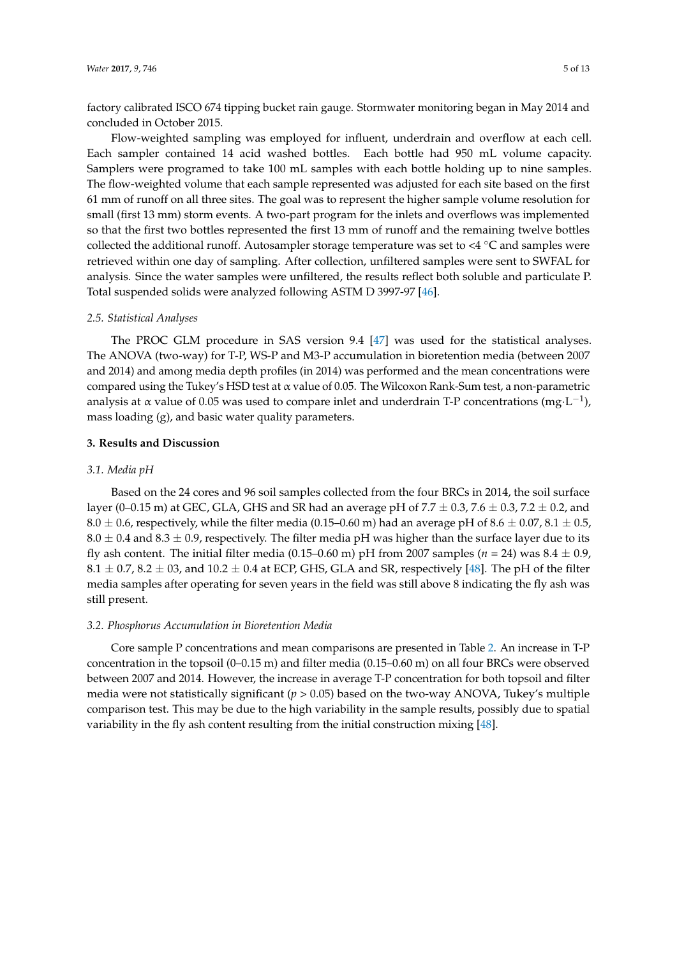factory calibrated ISCO 674 tipping bucket rain gauge. Stormwater monitoring began in May 2014 and concluded in October 2015.

Flow-weighted sampling was employed for influent, underdrain and overflow at each cell. Each sampler contained 14 acid washed bottles. Each bottle had 950 mL volume capacity. Samplers were programed to take 100 mL samples with each bottle holding up to nine samples. The flow-weighted volume that each sample represented was adjusted for each site based on the first 61 mm of runoff on all three sites. The goal was to represent the higher sample volume resolution for small (first 13 mm) storm events. A two-part program for the inlets and overflows was implemented so that the first two bottles represented the first 13 mm of runoff and the remaining twelve bottles collected the additional runoff. Autosampler storage temperature was set to <4 ◦C and samples were retrieved within one day of sampling. After collection, unfiltered samples were sent to SWFAL for analysis. Since the water samples were unfiltered, the results reflect both soluble and particulate P. Total suspended solids were analyzed following ASTM D 3997-97 [\[46\]](#page-12-11).

#### *2.5. Statistical Analyses*

The PROC GLM procedure in SAS version 9.4 [\[47\]](#page-12-12) was used for the statistical analyses. The ANOVA (two-way) for T-P, WS-P and M3-P accumulation in bioretention media (between 2007 and 2014) and among media depth profiles (in 2014) was performed and the mean concentrations were compared using the Tukey's HSD test at α value of 0.05. The Wilcoxon Rank-Sum test, a non-parametric analysis at α value of 0.05 was used to compare inlet and underdrain T-P concentrations (mg·L<sup>-1</sup>), mass loading (g), and basic water quality parameters.

#### **3. Results and Discussion**

#### *3.1. Media pH*

Based on the 24 cores and 96 soil samples collected from the four BRCs in 2014, the soil surface layer (0–0.15 m) at GEC, GLA, GHS and SR had an average pH of 7.7  $\pm$  0.3, 7.6  $\pm$  0.3, 7.2  $\pm$  0.2, and 8.0  $\pm$  0.6, respectively, while the filter media (0.15–0.60 m) had an average pH of 8.6  $\pm$  0.07, 8.1  $\pm$  0.5,  $8.0 \pm 0.4$  and  $8.3 \pm 0.9$ , respectively. The filter media pH was higher than the surface layer due to its fly ash content. The initial filter media (0.15–0.60 m) pH from 2007 samples ( $n = 24$ ) was  $8.4 \pm 0.9$ ,  $8.1 \pm 0.7$ ,  $8.2 \pm 03$ , and  $10.2 \pm 0.4$  at ECP, GHS, GLA and SR, respectively [\[48\]](#page-12-13). The pH of the filter media samples after operating for seven years in the field was still above 8 indicating the fly ash was still present.

#### *3.2. Phosphorus Accumulation in Bioretention Media*

Core sample P concentrations and mean comparisons are presented in Table [2.](#page-5-0) An increase in T-P concentration in the topsoil (0–0.15 m) and filter media (0.15–0.60 m) on all four BRCs were observed between 2007 and 2014. However, the increase in average T-P concentration for both topsoil and filter media were not statistically significant  $(p > 0.05)$  based on the two-way ANOVA, Tukey's multiple comparison test. This may be due to the high variability in the sample results, possibly due to spatial variability in the fly ash content resulting from the initial construction mixing [\[48\]](#page-12-13).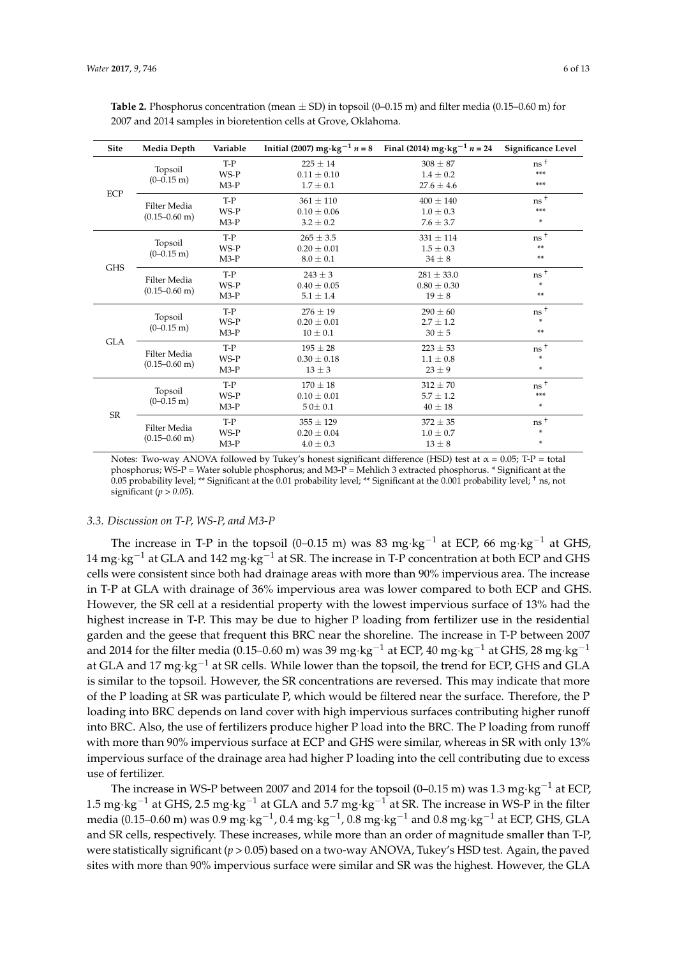| <b>Site</b> | Media Depth                               | Variable |                 | Initial (2007) $mg \cdot kg^{-1} n = 8$ Final (2014) $mg \cdot kg^{-1} n = 24$ | Significance Level |
|-------------|-------------------------------------------|----------|-----------------|--------------------------------------------------------------------------------|--------------------|
|             |                                           | $T-P$    | $225 \pm 14$    | $308 \pm 87$                                                                   | $ns^+$             |
|             | Topsoil<br>$(0-0.15 \text{ m})$           | $WS-P$   | $0.11 \pm 0.10$ | $1.4 \pm 0.2$                                                                  | ***                |
|             |                                           | $M3-P$   | $1.7 \pm 0.1$   | $27.6 \pm 4.6$                                                                 | ***                |
| ECP         | <b>Filter Media</b>                       | $T-P$    | $361 \pm 110$   | $400 \pm 140$                                                                  | $ns$ <sup>+</sup>  |
|             | $(0.15 - 0.60 \text{ m})$                 | WS-P     | $0.10 \pm 0.06$ | $1.0 \pm 0.3$                                                                  | $***$              |
|             |                                           | $M3-P$   | $3.2 \pm 0.2$   | $7.6 \pm 3.7$                                                                  | ÷                  |
|             |                                           | $T-P$    | $265 \pm 3.5$   | $331 \pm 114$                                                                  | $ns$ <sup>+</sup>  |
|             | Topsoil<br>$(0-0.15 \text{ m})$           | WS-P     | $0.20 \pm 0.01$ | $1.5 \pm 0.3$                                                                  | $**$               |
|             |                                           | $M3-P$   | $8.0 \pm 0.1$   | $34 \pm 8$                                                                     | **                 |
| <b>GHS</b>  | <b>Filter Media</b><br>$(0.15 - 0.60)$ m) | $T-P$    | $243 \pm 3$     | $281 \pm 33.0$                                                                 | $ns$ <sup>+</sup>  |
|             |                                           | WS-P     | $0.40 \pm 0.05$ | $0.80 \pm 0.30$                                                                | $\ast$             |
|             |                                           | $M3-P$   | $5.1 \pm 1.4$   | $19 \pm 8$                                                                     | $**$               |
|             | Topsoil<br>$(0-0.15 \text{ m})$           | $T-P$    | $276 \pm 19$    | $290 \pm 60$                                                                   | $ns^+$             |
|             |                                           | WS-P     | $0.20 \pm 0.01$ | $2.7 \pm 1.2$                                                                  | ÷                  |
|             |                                           | $M3-P$   | $10 \pm 0.1$    | $30 \pm 5$                                                                     | $**$               |
| <b>GLA</b>  | <b>Filter Media</b>                       | $T-P$    | $195 \pm 28$    | $223 \pm 53$                                                                   | ns <sup>+</sup>    |
|             | $(0.15 - 0.60)$ m)                        | WS-P     | $0.30 \pm 0.18$ | $1.1 \pm 0.8$                                                                  | ÷                  |
|             |                                           | $M3-P$   | $13 \pm 3$      | $23 \pm 9$                                                                     | $\ast$             |
|             | Topsoil                                   | $T-P$    | $170 \pm 18$    | $312 \pm 70$                                                                   | ns <sup>+</sup>    |
|             | $(0-0.15 \text{ m})$                      | WS-P     | $0.10 \pm 0.01$ | $5.7 \pm 1.2$                                                                  | $***$              |
| SR          |                                           | $M3-P$   | $50 \pm 0.1$    | $40 \pm 18$                                                                    | ÷                  |
|             | Filter Media                              | $T-P$    | $355 \pm 129$   | $372 \pm 35$                                                                   | $ns^+$             |
|             |                                           | $WS-P$   | $0.20 \pm 0.04$ | $1.0 \pm 0.7$                                                                  | ÷                  |
|             | $(0.15 - 0.60)$ m)                        | $M3-P$   | $4.0 \pm 0.3$   | $13 \pm 8$                                                                     | $\ast$             |

<span id="page-5-0"></span>2007 and 2014 samples in bioretention cells at Grove, Oklahoma.

Notes: Two-way ANOVA followed by Tukey's honest significant difference (HSD) test at  $\alpha = 0.05$ ; T-P = total phosphorus; WS-P = Water soluble phosphorus; and M3-P = Mehlich 3 extracted phosphorus. \* Significant at the 0.05 probability level; \*\* Significant at the 0.01 probability level; \*\* Significant at the 0.001 probability level; † ns, not significant (*p > 0.05*).

#### *3.3. Discussion on T-P, WS-P, and M3-P*

The increase in T-P in the topsoil (0–0.15 m) was 83 mg·kg<sup>-1</sup> at ECP, 66 mg·kg<sup>-1</sup> at GHS, 14 mg·kg−<sup>1</sup> at GLA and 142 mg·kg−<sup>1</sup> at SR. The increase in T-P concentration at both ECP and GHS cells were consistent since both had drainage areas with more than 90% impervious area. The increase in T-P at GLA with drainage of 36% impervious area was lower compared to both ECP and GHS. However, the SR cell at a residential property with the lowest impervious surface of 13% had the highest increase in T-P. This may be due to higher P loading from fertilizer use in the residential garden and the geese that frequent this BRC near the shoreline. The increase in T-P between 2007 and 2014 for the filter media (0.15–0.60 m) was 39 mg·kg<sup>-1</sup> at ECP, 40 mg·kg<sup>-1</sup> at GHS, 28 mg·kg<sup>-1</sup> at GLA and 17 mg·kg−<sup>1</sup> at SR cells. While lower than the topsoil, the trend for ECP, GHS and GLA is similar to the topsoil. However, the SR concentrations are reversed. This may indicate that more of the P loading at SR was particulate P, which would be filtered near the surface. Therefore, the P loading into BRC depends on land cover with high impervious surfaces contributing higher runoff into BRC. Also, the use of fertilizers produce higher P load into the BRC. The P loading from runoff with more than 90% impervious surface at ECP and GHS were similar, whereas in SR with only 13% impervious surface of the drainage area had higher P loading into the cell contributing due to excess use of fertilizer.

The increase in WS-P between 2007 and 2014 for the topsoil (0–0.15 m) was 1.3 mg⋅kg<sup>-1</sup> at ECP, 1.5 mg·kg−<sup>1</sup> at GHS, 2.5 mg·kg−<sup>1</sup> at GLA and 5.7 mg·kg−<sup>1</sup> at SR. The increase in WS-P in the filter media (0.15–0.60 m) was 0.9 mg·kg $^{-1}$ , 0.4 mg·kg $^{-1}$ , 0.8 mg·kg $^{-1}$  and 0.8 mg·kg $^{-1}$  at ECP, GHS, GLA and SR cells, respectively. These increases, while more than an order of magnitude smaller than T-P, were statistically significant (*p* > 0.05) based on a two-way ANOVA, Tukey's HSD test. Again, the paved sites with more than 90% impervious surface were similar and SR was the highest. However, the GLA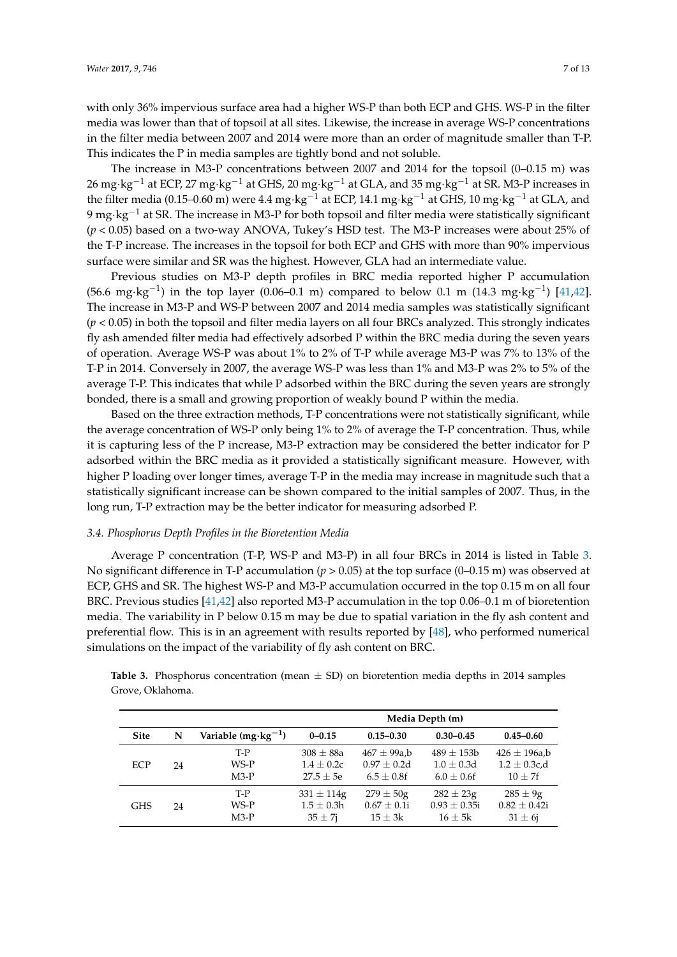with only 36% impervious surface area had a higher WS-P than both ECP and GHS. WS-P in the filter media was lower than that of topsoil at all sites. Likewise, the increase in average WS-P concentrations in the filter media between 2007 and 2014 were more than an order of magnitude smaller than T-P. This indicates the P in media samples are tightly bond and not soluble.

The increase in M3-P concentrations between 2007 and 2014 for the topsoil (0–0.15 m) was 26 mg·kg−<sup>1</sup> at ECP, 27 mg·kg−<sup>1</sup> at GHS, 20 mg·kg−<sup>1</sup> at GLA, and 35 mg·kg−<sup>1</sup> at SR. M3-P increases in the filter media (0.15–0.60 m) were 4.4 mg·kg<sup>-1</sup> at ECP, 14.1 mg·kg<sup>-1</sup> at GHS, 10 mg·kg<sup>-1</sup> at GLA, and 9 mg·kg<sup>-1</sup> at SR. The increase in M3-P for both topsoil and filter media were statistically significant (*p* < 0.05) based on a two-way ANOVA, Tukey's HSD test. The M3-P increases were about 25% of the T-P increase. The increases in the topsoil for both ECP and GHS with more than 90% impervious surface were similar and SR was the highest. However, GLA had an intermediate value.

Previous studies on M3-P depth profiles in BRC media reported higher P accumulation (56.6 mg·kg<sup>-1</sup>) in the top layer (0.06–0.1 m) compared to below 0.1 m (14.3 mg·kg<sup>-1</sup>) [\[41,](#page-12-6)[42\]](#page-12-7). The increase in M3-P and WS-P between 2007 and 2014 media samples was statistically significant (*p* < 0.05) in both the topsoil and filter media layers on all four BRCs analyzed. This strongly indicates fly ash amended filter media had effectively adsorbed P within the BRC media during the seven years of operation. Average WS-P was about 1% to 2% of T-P while average M3-P was 7% to 13% of the T-P in 2014. Conversely in 2007, the average WS-P was less than 1% and M3-P was 2% to 5% of the average T-P. This indicates that while P adsorbed within the BRC during the seven years are strongly bonded, there is a small and growing proportion of weakly bound P within the media.

Based on the three extraction methods, T-P concentrations were not statistically significant, while the average concentration of WS-P only being 1% to 2% of average the T-P concentration. Thus, while it is capturing less of the P increase, M3-P extraction may be considered the better indicator for P adsorbed within the BRC media as it provided a statistically significant measure. However, with higher P loading over longer times, average T-P in the media may increase in magnitude such that a statistically significant increase can be shown compared to the initial samples of 2007. Thus, in the long run, T-P extraction may be the better indicator for measuring adsorbed P.

#### *3.4. Phosphorus Depth Profiles in the Bioretention Media*

Average P concentration (T-P, WS-P and M3-P) in all four BRCs in 2014 is listed in Table [3.](#page-7-0) No significant difference in T-P accumulation ( $p > 0.05$ ) at the top surface (0–0.15 m) was observed at ECP, GHS and SR. The highest WS-P and M3-P accumulation occurred in the top 0.15 m on all four BRC. Previous studies [\[41,](#page-12-6)[42\]](#page-12-7) also reported M3-P accumulation in the top 0.06–0.1 m of bioretention media. The variability in P below 0.15 m may be due to spatial variation in the fly ash content and preferential flow. This is in an agreement with results reported by [\[48\]](#page-12-13), who performed numerical simulations on the impact of the variability of fly ash content on BRC.

|                  | <b>Table 3.</b> Phosphorus concentration (mean $\pm$ SD) on bioretention media depths in 2014 samples |  |  |  |  |
|------------------|-------------------------------------------------------------------------------------------------------|--|--|--|--|
| Grove, Oklahoma. |                                                                                                       |  |  |  |  |

|             |    |                               | Media Depth (m)                                  |                                                   |                                                    |                                                     |  |  |
|-------------|----|-------------------------------|--------------------------------------------------|---------------------------------------------------|----------------------------------------------------|-----------------------------------------------------|--|--|
| <b>Site</b> | N  | Variable $(mg \cdot kg^{-1})$ | $0 - 0.15$                                       | $0.15 - 0.30$                                     | $0.30 - 0.45$                                      | $0.45 - 0.60$                                       |  |  |
| ECP         | 24 | T-P<br>WS-P<br>$M3-P$         | $308 \pm 88a$<br>$1.4 \pm 0.2c$<br>$27.5 + 5e$   | $467 \pm 99a$ ,b<br>$0.97 + 0.2d$<br>$6.5 + 0.8f$ | $489 \pm 153b$<br>$1.0 \pm 0.3d$<br>$6.0 \pm 0.6f$ | $426 \pm 196$ a,b<br>$1.2 \pm 0.3$ c,d<br>$10 + 7f$ |  |  |
| GHS         | 24 | T-P<br>WS-P<br>$M3-P$         | $331 \pm 114$ g<br>$1.5 \pm 0.3h$<br>$35 \pm 7i$ | $279 \pm 50$ g<br>$0.67 \pm 0.1i$<br>$15 \pm 3k$  | $282 \pm 23$ g<br>$0.93 \pm 0.35i$<br>$16 \pm 5k$  | $285 \pm 9g$<br>$0.82 \pm 0.42i$<br>$31 \pm 6i$     |  |  |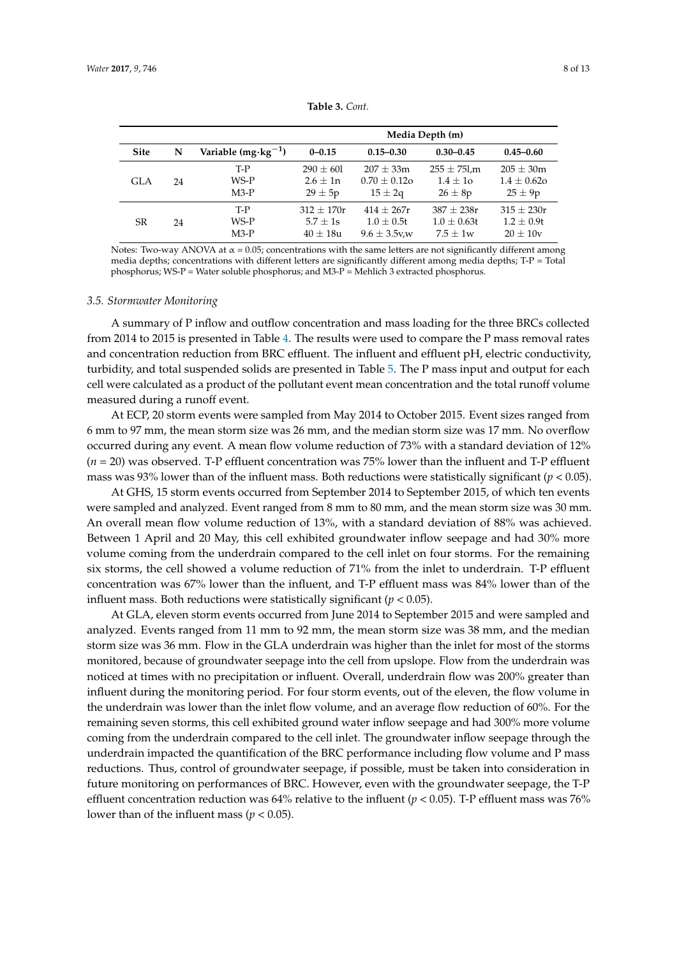<span id="page-7-0"></span>

|             |    |                                         | Media Depth (m)                            |                                                   |                                                 |                                                  |  |  |
|-------------|----|-----------------------------------------|--------------------------------------------|---------------------------------------------------|-------------------------------------------------|--------------------------------------------------|--|--|
| <b>Site</b> | N  | Variable (mg $\cdot$ kg <sup>-1</sup> ) | $0 - 0.15$                                 | $0.15 - 0.30$                                     | $0.30 - 0.45$                                   | $0.45 - 0.60$                                    |  |  |
| GLA         | 24 | T-P<br>WS-P<br>$M3-P$                   | $290 \pm 601$<br>$2.6 + 1n$<br>$29 \pm 5p$ | $207 + 33m$<br>$0.70 + 0.12$ o<br>$15 \pm 2q$     | $255 \pm 75$ l,m<br>$1.4 \pm 10$<br>$26 \pm 8p$ | $205 \pm 30m$<br>$1.4 \pm 0.62$ o<br>$25 \pm 9p$ |  |  |
| SR          | 24 | T-P<br>WS-P<br>$M3-P$                   | $312 + 170r$<br>$5.7 + 1s$<br>$40 + 18u$   | $414 + 267r$<br>$1.0 + 0.5t$<br>$9.6 \pm 3.5$ v,w | $387 + 238r$<br>$1.0 \pm 0.63t$<br>$7.5 + 1w$   | $315 \pm 230r$<br>$1.2 + 0.9t$<br>$20 + 10v$     |  |  |

**Table 3.** *Cont.*

Notes: Two-way ANOVA at  $\alpha$  = 0.05; concentrations with the same letters are not significantly different among media depths; concentrations with different letters are significantly different among media depths; T-P = Total phosphorus; WS-P = Water soluble phosphorus; and M3-P = Mehlich 3 extracted phosphorus.

#### *3.5. Stormwater Monitoring*

A summary of P inflow and outflow concentration and mass loading for the three BRCs collected from 2014 to 2015 is presented in Table [4.](#page-8-0) The results were used to compare the P mass removal rates and concentration reduction from BRC effluent. The influent and effluent pH, electric conductivity, turbidity, and total suspended solids are presented in Table [5.](#page-8-1) The P mass input and output for each cell were calculated as a product of the pollutant event mean concentration and the total runoff volume measured during a runoff event.

At ECP, 20 storm events were sampled from May 2014 to October 2015. Event sizes ranged from 6 mm to 97 mm, the mean storm size was 26 mm, and the median storm size was 17 mm. No overflow occurred during any event. A mean flow volume reduction of 73% with a standard deviation of 12% (*n* = 20) was observed. T-P effluent concentration was 75% lower than the influent and T-P effluent mass was 93% lower than of the influent mass. Both reductions were statistically significant ( $p < 0.05$ ).

At GHS, 15 storm events occurred from September 2014 to September 2015, of which ten events were sampled and analyzed. Event ranged from 8 mm to 80 mm, and the mean storm size was 30 mm. An overall mean flow volume reduction of 13%, with a standard deviation of 88% was achieved. Between 1 April and 20 May, this cell exhibited groundwater inflow seepage and had 30% more volume coming from the underdrain compared to the cell inlet on four storms. For the remaining six storms, the cell showed a volume reduction of 71% from the inlet to underdrain. T-P effluent concentration was 67% lower than the influent, and T-P effluent mass was 84% lower than of the influent mass. Both reductions were statistically significant ( $p < 0.05$ ).

At GLA, eleven storm events occurred from June 2014 to September 2015 and were sampled and analyzed. Events ranged from 11 mm to 92 mm, the mean storm size was 38 mm, and the median storm size was 36 mm. Flow in the GLA underdrain was higher than the inlet for most of the storms monitored, because of groundwater seepage into the cell from upslope. Flow from the underdrain was noticed at times with no precipitation or influent. Overall, underdrain flow was 200% greater than influent during the monitoring period. For four storm events, out of the eleven, the flow volume in the underdrain was lower than the inlet flow volume, and an average flow reduction of 60%. For the remaining seven storms, this cell exhibited ground water inflow seepage and had 300% more volume coming from the underdrain compared to the cell inlet. The groundwater inflow seepage through the underdrain impacted the quantification of the BRC performance including flow volume and P mass reductions. Thus, control of groundwater seepage, if possible, must be taken into consideration in future monitoring on performances of BRC. However, even with the groundwater seepage, the T-P effluent concentration reduction was 64% relative to the influent ( $p < 0.05$ ). T-P effluent mass was 76% lower than of the influent mass ( $p < 0.05$ ).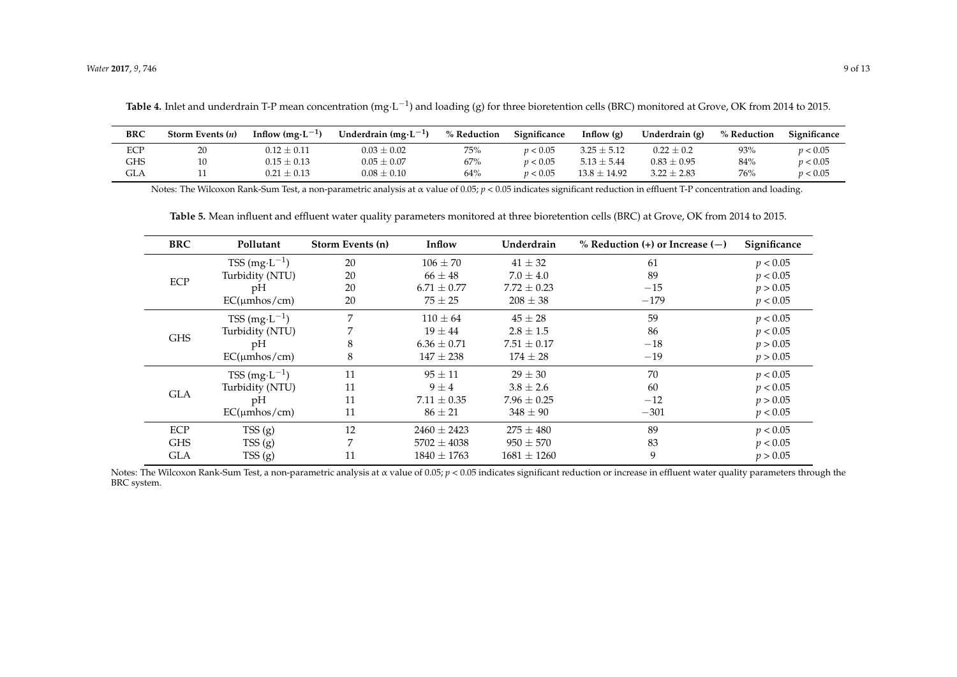| <b>BRC</b> | Storm Events $(n)$ | Inflow $(mg \cdot L^{-1})$ | Underdrain $(mg \cdot L^{-1})$ | % Reduction | Significance | Inflow $(g)$     | Underdrain (g)  | % Reduction | Significance |
|------------|--------------------|----------------------------|--------------------------------|-------------|--------------|------------------|-----------------|-------------|--------------|
| ECP        | 20                 | $0.12 \pm 0.11$            | $0.03 \pm 0.02$                | 75%         | p < 0.05     | $3.25 \pm 5.12$  | $0.22 \pm 0.2$  | 93%         | p < 0.05     |
| GHS        |                    | $0.15 \pm 0.13$            | $0.05 \pm 0.07$                | 67%         | p < 0.05     | $5.13 \pm 5.44$  | $0.83 \pm 0.95$ | 84%         | p < 0.05     |
| <b>GLA</b> |                    | $0.21 \pm 0.13$            | $0.08 \pm 0.10$                | 64%         | p < 0.05     | $13.8 \pm 14.92$ | $3.22 \pm 2.83$ | 76%         | p < 0.05     |

Notes: The Wilcoxon Rank-Sum Test, a non-parametric analysis at α value of 0.05; *p* < 0.05 indicates significant reduction in effluent T-P concentration and loading.

**Table 5.** Mean influent and effluent water quality parameters monitored at three bioretention cells (BRC) at Grove, OK from 2014 to 2015.

| <b>BRC</b> | Pollutant                   | Storm Events (n) | Inflow          | Underdrain      | % Reduction $(+)$ or Increase $(-)$ | Significance |
|------------|-----------------------------|------------------|-----------------|-----------------|-------------------------------------|--------------|
|            | $TSS(mg \cdot L^{-1})$      | 20               | $106 \pm 70$    | $41 \pm 32$     | 61                                  | p < 0.05     |
|            | Turbidity (NTU)             | 20               | $66 \pm 48$     | $7.0 \pm 4.0$   | 89                                  | p < 0.05     |
| ECP        | pH                          | 20               | $6.71 \pm 0.77$ | $7.72 \pm 0.23$ | $-15$                               | p > 0.05     |
|            | $EC(\mu m \cos / cm)$       | 20               | $75 \pm 25$     | $208 \pm 38$    | $-179$                              | p < 0.05     |
|            | $TSS$ (mg·L <sup>-1</sup> ) | 7                | $110 \pm 64$    | $45 \pm 28$     | 59                                  | p < 0.05     |
|            | Turbidity (NTU)             |                  | $19 \pm 44$     | $2.8 \pm 1.5$   | 86                                  | p < 0.05     |
| <b>GHS</b> | pH                          | 8                | $6.36 \pm 0.71$ | $7.51 \pm 0.17$ | $-18$                               | p > 0.05     |
|            | $EC(\mu m \cos / cm)$       | 8                | $147 \pm 238$   | $174 \pm 28$    | $-19$                               | p > 0.05     |
|            | $TSS(mg \cdot L^{-1})$      | 11               | $95 \pm 11$     | $29 \pm 30$     | 70                                  | p < 0.05     |
| <b>GLA</b> | Turbidity (NTU)             | 11               | $9 \pm 4$       | $3.8 \pm 2.6$   | 60                                  | p < 0.05     |
|            | pH                          | 11               | $7.11 \pm 0.35$ | $7.96 \pm 0.25$ | $-12$                               | p > 0.05     |
|            | $EC(\mu m \cos / cm)$       | 11               | $86 \pm 21$     | $348 \pm 90$    | $-301$                              | p < 0.05     |
| ECP        | TSS(g)                      | 12               | $2460 \pm 2423$ | $275 \pm 480$   | 89                                  | p < 0.05     |
| <b>GHS</b> | TSS(g)                      | 7                | $5702 \pm 4038$ | $950 \pm 570$   | 83                                  | p < 0.05     |
| <b>GLA</b> | TSS(g)                      | 11               | $1840 \pm 1763$ | $1681 \pm 1260$ | 9                                   | p > 0.05     |

<span id="page-8-1"></span><span id="page-8-0"></span>Notes: The Wilcoxon Rank-Sum Test, a non-parametric analysis at α value of 0.05; *p* < 0.05 indicates significant reduction or increase in effluent water quality parameters through the BRC system.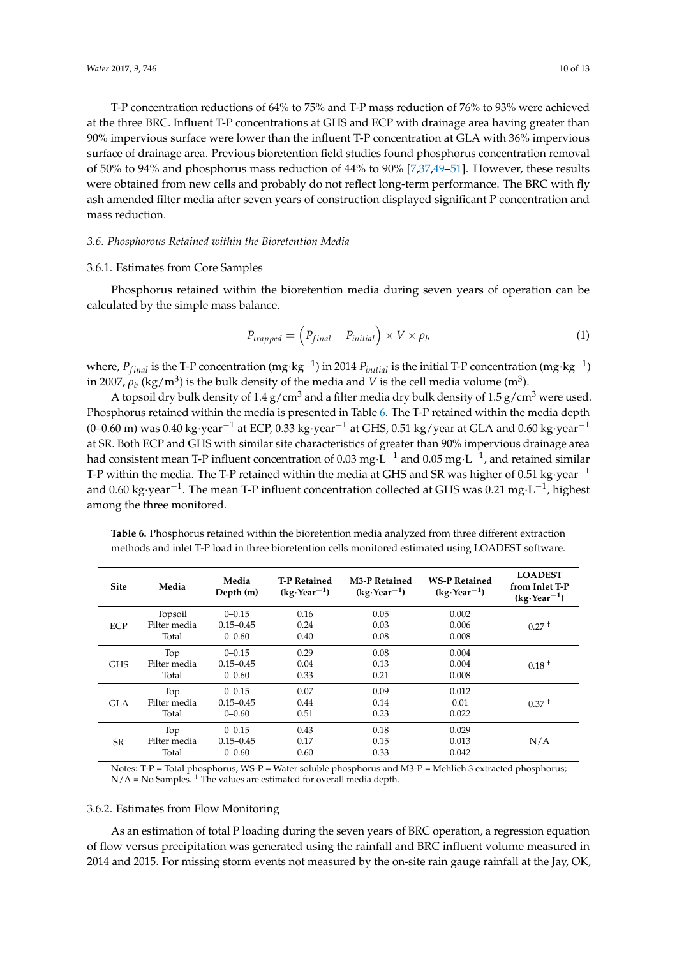T-P concentration reductions of 64% to 75% and T-P mass reduction of 76% to 93% were achieved at the three BRC. Influent T-P concentrations at GHS and ECP with drainage area having greater than 90% impervious surface were lower than the influent T-P concentration at GLA with 36% impervious surface of drainage area. Previous bioretention field studies found phosphorus concentration removal of 50% to 94% and phosphorus mass reduction of 44% to 90% [\[7,](#page-11-6)[37,](#page-12-2)[49](#page-12-14)[–51\]](#page-12-15). However, these results were obtained from new cells and probably do not reflect long-term performance. The BRC with fly ash amended filter media after seven years of construction displayed significant P concentration and mass reduction.

#### *3.6. Phosphorous Retained within the Bioretention Media*

#### 3.6.1. Estimates from Core Samples

Phosphorus retained within the bioretention media during seven years of operation can be calculated by the simple mass balance.

$$
P_{trapped} = \left(P_{final} - P_{initial}\right) \times V \times \rho_b \tag{1}
$$

where*, P<sub>final</sub>* is the T-P concentration (mg·kg<sup>−1</sup>) in 2014 *P<sub>initial</sub>* is the initial T-P concentration (mg·kg<sup>−1</sup>) in 2007,  $\rho_b$  (kg/m<sup>3</sup>) is the bulk density of the media and *V* is the cell media volume (m<sup>3</sup>).

A topsoil dry bulk density of 1.4  $g/cm<sup>3</sup>$  and a filter media dry bulk density of 1.5  $g/cm<sup>3</sup>$  were used. Phosphorus retained within the media is presented in Table [6.](#page-9-0) The T-P retained within the media depth (0–0.60 m) was 0.40 kg·year<sup>-1</sup> at ECP, 0.33 kg·year<sup>-1</sup> at GHS, 0.51 kg/year at GLA and 0.60 kg·year<sup>-1</sup> at SR. Both ECP and GHS with similar site characteristics of greater than 90% impervious drainage area had consistent mean T-P influent concentration of 0.03 mg·L $^{-1}$  and 0.05 mg·L $^{-1}$ , and retained similar T-P within the media. The T-P retained within the media at GHS and SR was higher of 0.51 kg·year<sup>-1</sup> and 0.60 kg·year<sup>-1</sup>. The mean T-P influent concentration collected at GHS was 0.21 mg·L<sup>-1</sup>, highest among the three monitored.

| <b>Site</b> | Media        | Media<br>Depth (m) | <b>T-P Retained</b><br>$(kg$ ·Year <sup>-1</sup> ) | <b>M3-P Retained</b><br>$(kg$ ·Year <sup>-1</sup> ) | <b>WS-P Retained</b><br>$(kg$ ·Year <sup>-1</sup> ) | <b>LOADEST</b><br>from Inlet T-P<br>$(kg$ ·Year <sup>-1</sup> ) |
|-------------|--------------|--------------------|----------------------------------------------------|-----------------------------------------------------|-----------------------------------------------------|-----------------------------------------------------------------|
|             | Topsoil      | $0 - 0.15$         | 0.16                                               | 0.05                                                | 0.002                                               |                                                                 |
| <b>ECP</b>  | Filter media | $0.15 - 0.45$      | 0.24                                               | 0.03                                                | 0.006                                               | $0.27+$                                                         |
|             | Total        | $0 - 0.60$         | 0.40                                               | 0.08                                                | 0.008                                               |                                                                 |
|             | Top          | $0 - 0.15$         | 0.29                                               | 0.08                                                | 0.004                                               |                                                                 |
| <b>GHS</b>  | Filter media | $0.15 - 0.45$      | 0.04                                               | 0.13                                                | 0.004                                               | $0.18^{\text{+}}$                                               |
|             | Total        | $0 - 0.60$         | 0.33                                               | 0.21                                                | 0.008                                               |                                                                 |
|             | Top          | $0 - 0.15$         | 0.07                                               | 0.09                                                | 0.012                                               |                                                                 |
| GLA         | Filter media | $0.15 - 0.45$      | 0.44                                               | 0.14                                                | 0.01                                                | $0.37+$                                                         |
|             | Total        | $0 - 0.60$         | 0.51                                               | 0.23                                                | 0.022                                               |                                                                 |
|             | Top          | $0 - 0.15$         | 0.43                                               | 0.18                                                | 0.029                                               |                                                                 |
| <b>SR</b>   | Filter media | $0.15 - 0.45$      | 0.17                                               | 0.15                                                | 0.013                                               | N/A                                                             |
|             | Total        | $0 - 0.60$         | 0.60                                               | 0.33                                                | 0.042                                               |                                                                 |

<span id="page-9-0"></span>**Table 6.** Phosphorus retained within the bioretention media analyzed from three different extraction methods and inlet T-P load in three bioretention cells monitored estimated using LOADEST software.

Notes: T-P = Total phosphorus; WS-P = Water soluble phosphorus and M3-P = Mehlich 3 extracted phosphorus;  $N/A = No$  Samples.<sup>†</sup> The values are estimated for overall media depth.

#### 3.6.2. Estimates from Flow Monitoring

As an estimation of total P loading during the seven years of BRC operation, a regression equation of flow versus precipitation was generated using the rainfall and BRC influent volume measured in 2014 and 2015. For missing storm events not measured by the on-site rain gauge rainfall at the Jay, OK,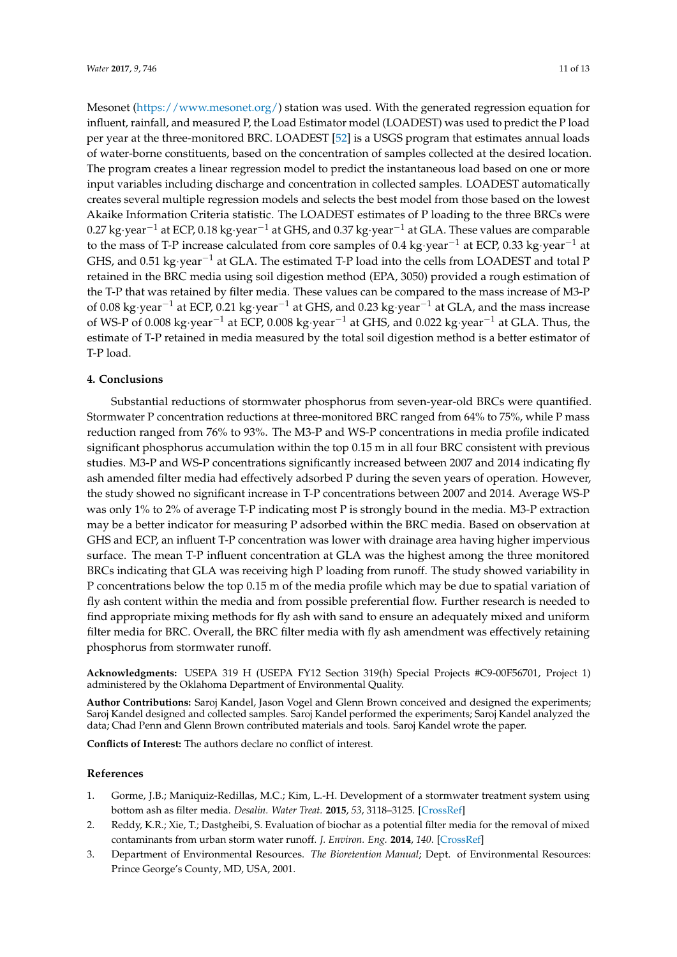Mesonet [\(https://www.mesonet.org/\)](https://www.mesonet.org/) station was used. With the generated regression equation for influent, rainfall, and measured P, the Load Estimator model (LOADEST) was used to predict the P load per year at the three-monitored BRC. LOADEST [\[52\]](#page-12-16) is a USGS program that estimates annual loads of water-borne constituents, based on the concentration of samples collected at the desired location. The program creates a linear regression model to predict the instantaneous load based on one or more input variables including discharge and concentration in collected samples. LOADEST automatically creates several multiple regression models and selects the best model from those based on the lowest Akaike Information Criteria statistic. The LOADEST estimates of P loading to the three BRCs were 0.27 kg·year−<sup>1</sup> at ECP, 0.18 kg·year−<sup>1</sup> at GHS, and 0.37 kg·year−<sup>1</sup> at GLA. These values are comparable to the mass of T-P increase calculated from core samples of 0.4 kg·year−<sup>1</sup> at ECP, 0.33 kg·year−<sup>1</sup> at GHS, and 0.51 kg·year−<sup>1</sup> at GLA. The estimated T-P load into the cells from LOADEST and total P retained in the BRC media using soil digestion method (EPA, 3050) provided a rough estimation of the T-P that was retained by filter media. These values can be compared to the mass increase of M3-P of 0.08 kg·year−<sup>1</sup> at ECP, 0.21 kg·year−<sup>1</sup> at GHS, and 0.23 kg·year−<sup>1</sup> at GLA, and the mass increase of WS-P of 0.008 kg·year−<sup>1</sup> at ECP, 0.008 kg·year−<sup>1</sup> at GHS, and 0.022 kg·year−<sup>1</sup> at GLA. Thus, the estimate of T-P retained in media measured by the total soil digestion method is a better estimator of T-P load.

### **4. Conclusions**

Substantial reductions of stormwater phosphorus from seven-year-old BRCs were quantified. Stormwater P concentration reductions at three-monitored BRC ranged from 64% to 75%, while P mass reduction ranged from 76% to 93%. The M3-P and WS-P concentrations in media profile indicated significant phosphorus accumulation within the top 0.15 m in all four BRC consistent with previous studies. M3-P and WS-P concentrations significantly increased between 2007 and 2014 indicating fly ash amended filter media had effectively adsorbed P during the seven years of operation. However, the study showed no significant increase in T-P concentrations between 2007 and 2014. Average WS-P was only 1% to 2% of average T-P indicating most P is strongly bound in the media. M3-P extraction may be a better indicator for measuring P adsorbed within the BRC media. Based on observation at GHS and ECP, an influent T-P concentration was lower with drainage area having higher impervious surface. The mean T-P influent concentration at GLA was the highest among the three monitored BRCs indicating that GLA was receiving high P loading from runoff. The study showed variability in P concentrations below the top 0.15 m of the media profile which may be due to spatial variation of fly ash content within the media and from possible preferential flow. Further research is needed to find appropriate mixing methods for fly ash with sand to ensure an adequately mixed and uniform filter media for BRC. Overall, the BRC filter media with fly ash amendment was effectively retaining phosphorus from stormwater runoff.

**Acknowledgments:** USEPA 319 H (USEPA FY12 Section 319(h) Special Projects #C9-00F56701, Project 1) administered by the Oklahoma Department of Environmental Quality.

**Author Contributions:** Saroj Kandel, Jason Vogel and Glenn Brown conceived and designed the experiments; Saroj Kandel designed and collected samples. Saroj Kandel performed the experiments; Saroj Kandel analyzed the data; Chad Penn and Glenn Brown contributed materials and tools. Saroj Kandel wrote the paper.

**Conflicts of Interest:** The authors declare no conflict of interest.

#### **References**

- <span id="page-10-0"></span>1. Gorme, J.B.; Maniquiz-Redillas, M.C.; Kim, L.-H. Development of a stormwater treatment system using bottom ash as filter media. *Desalin. Water Treat.* **2015**, *53*, 3118–3125. [\[CrossRef\]](http://dx.doi.org/10.1080/19443994.2014.922307)
- <span id="page-10-1"></span>2. Reddy, K.R.; Xie, T.; Dastgheibi, S. Evaluation of biochar as a potential filter media for the removal of mixed contaminants from urban storm water runoff. *J. Environ. Eng.* **2014**, *140*. [\[CrossRef\]](http://dx.doi.org/10.1061/(ASCE)EE.1943-7870.0000872)
- <span id="page-10-2"></span>3. Department of Environmental Resources. *The Bioretention Manual*; Dept. of Environmental Resources: Prince George's County, MD, USA, 2001.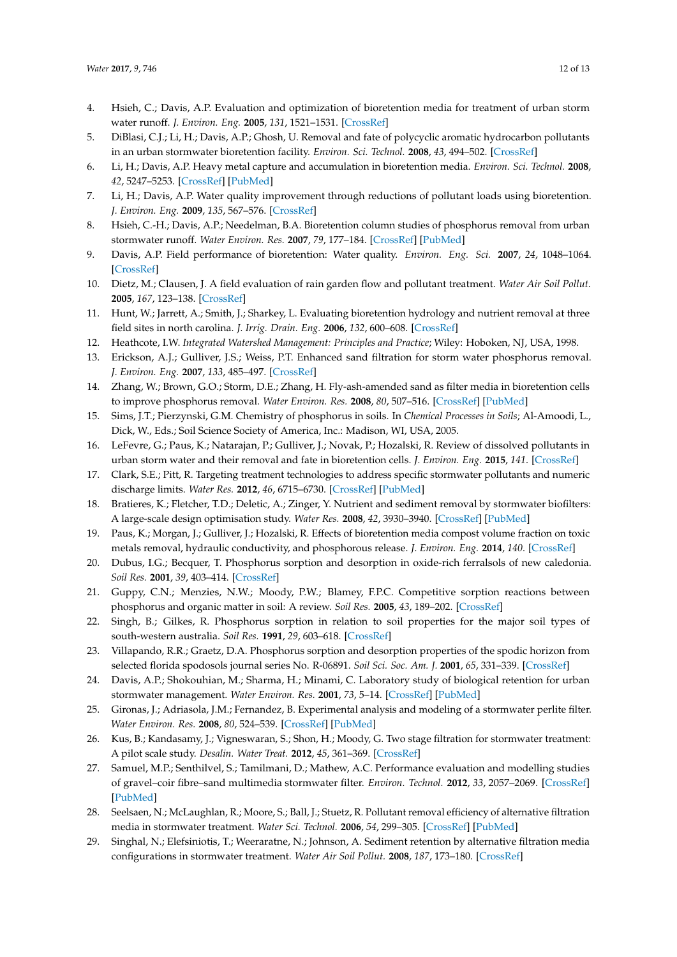- <span id="page-11-0"></span>4. Hsieh, C.; Davis, A.P. Evaluation and optimization of bioretention media for treatment of urban storm water runoff. *J. Environ. Eng.* **2005**, *131*, 1521–1531. [\[CrossRef\]](http://dx.doi.org/10.1061/(ASCE)0733-9372(2005)131:11(1521))
- 5. DiBlasi, C.J.; Li, H.; Davis, A.P.; Ghosh, U. Removal and fate of polycyclic aromatic hydrocarbon pollutants in an urban stormwater bioretention facility. *Environ. Sci. Technol.* **2008**, *43*, 494–502. [\[CrossRef\]](http://dx.doi.org/10.1021/es802090g)
- 6. Li, H.; Davis, A.P. Heavy metal capture and accumulation in bioretention media. *Environ. Sci. Technol.* **2008**, *42*, 5247–5253. [\[CrossRef\]](http://dx.doi.org/10.1021/es702681j) [\[PubMed\]](http://www.ncbi.nlm.nih.gov/pubmed/18754376)
- <span id="page-11-6"></span>7. Li, H.; Davis, A.P. Water quality improvement through reductions of pollutant loads using bioretention. *J. Environ. Eng.* **2009**, *135*, 567–576. [\[CrossRef\]](http://dx.doi.org/10.1061/(ASCE)EE.1943-7870.0000026)
- <span id="page-11-1"></span>8. Hsieh, C.-H.; Davis, A.P.; Needelman, B.A. Bioretention column studies of phosphorus removal from urban stormwater runoff. *Water Environ. Res.* **2007**, *79*, 177–184. [\[CrossRef\]](http://dx.doi.org/10.2175/106143006X111745) [\[PubMed\]](http://www.ncbi.nlm.nih.gov/pubmed/17370843)
- <span id="page-11-2"></span>9. Davis, A.P. Field performance of bioretention: Water quality. *Environ. Eng. Sci.* **2007**, *24*, 1048–1064. [\[CrossRef\]](http://dx.doi.org/10.1089/ees.2006.0190)
- <span id="page-11-3"></span>10. Dietz, M.; Clausen, J. A field evaluation of rain garden flow and pollutant treatment. *Water Air Soil Pollut.* **2005**, *167*, 123–138. [\[CrossRef\]](http://dx.doi.org/10.1007/s11270-005-8266-8)
- <span id="page-11-4"></span>11. Hunt, W.; Jarrett, A.; Smith, J.; Sharkey, L. Evaluating bioretention hydrology and nutrient removal at three field sites in north carolina. *J. Irrig. Drain. Eng.* **2006**, *132*, 600–608. [\[CrossRef\]](http://dx.doi.org/10.1061/(ASCE)0733-9437(2006)132:6(600))
- <span id="page-11-5"></span>12. Heathcote, I.W. *Integrated Watershed Management: Principles and Practice*; Wiley: Hoboken, NJ, USA, 1998.
- <span id="page-11-7"></span>13. Erickson, A.J.; Gulliver, J.S.; Weiss, P.T. Enhanced sand filtration for storm water phosphorus removal. *J. Environ. Eng.* **2007**, *133*, 485–497. [\[CrossRef\]](http://dx.doi.org/10.1061/(ASCE)0733-9372(2007)133:5(485))
- <span id="page-11-8"></span>14. Zhang, W.; Brown, G.O.; Storm, D.E.; Zhang, H. Fly-ash-amended sand as filter media in bioretention cells to improve phosphorus removal. *Water Environ. Res.* **2008**, *80*, 507–516. [\[CrossRef\]](http://dx.doi.org/10.2175/106143008X266823) [\[PubMed\]](http://www.ncbi.nlm.nih.gov/pubmed/18686926)
- <span id="page-11-9"></span>15. Sims, J.T.; Pierzynski, G.M. Chemistry of phosphorus in soils. In *Chemical Processes in Soils*; Al-Amoodi, L., Dick, W., Eds.; Soil Science Society of America, Inc.: Madison, WI, USA, 2005.
- <span id="page-11-10"></span>16. LeFevre, G.; Paus, K.; Natarajan, P.; Gulliver, J.; Novak, P.; Hozalski, R. Review of dissolved pollutants in urban storm water and their removal and fate in bioretention cells. *J. Environ. Eng.* **2015**, *141*. [\[CrossRef\]](http://dx.doi.org/10.1061/(ASCE)EE.1943-7870.0000876)
- <span id="page-11-11"></span>17. Clark, S.E.; Pitt, R. Targeting treatment technologies to address specific stormwater pollutants and numeric discharge limits. *Water Res.* **2012**, *46*, 6715–6730. [\[CrossRef\]](http://dx.doi.org/10.1016/j.watres.2012.07.009) [\[PubMed\]](http://www.ncbi.nlm.nih.gov/pubmed/22868085)
- <span id="page-11-12"></span>18. Bratieres, K.; Fletcher, T.D.; Deletic, A.; Zinger, Y. Nutrient and sediment removal by stormwater biofilters: A large-scale design optimisation study. *Water Res.* **2008**, *42*, 3930–3940. [\[CrossRef\]](http://dx.doi.org/10.1016/j.watres.2008.06.009) [\[PubMed\]](http://www.ncbi.nlm.nih.gov/pubmed/18710778)
- <span id="page-11-13"></span>19. Paus, K.; Morgan, J.; Gulliver, J.; Hozalski, R. Effects of bioretention media compost volume fraction on toxic metals removal, hydraulic conductivity, and phosphorous release. *J. Environ. Eng.* **2014**, *140*. [\[CrossRef\]](http://dx.doi.org/10.1061/(ASCE)EE.1943-7870.0000846)
- <span id="page-11-14"></span>20. Dubus, I.G.; Becquer, T. Phosphorus sorption and desorption in oxide-rich ferralsols of new caledonia. *Soil Res.* **2001**, *39*, 403–414. [\[CrossRef\]](http://dx.doi.org/10.1071/SR00003)
- 21. Guppy, C.N.; Menzies, N.W.; Moody, P.W.; Blamey, F.P.C. Competitive sorption reactions between phosphorus and organic matter in soil: A review. *Soil Res.* **2005**, *43*, 189–202. [\[CrossRef\]](http://dx.doi.org/10.1071/SR04049)
- 22. Singh, B.; Gilkes, R. Phosphorus sorption in relation to soil properties for the major soil types of south-western australia. *Soil Res.* **1991**, *29*, 603–618. [\[CrossRef\]](http://dx.doi.org/10.1071/SR9910603)
- <span id="page-11-15"></span>23. Villapando, R.R.; Graetz, D.A. Phosphorus sorption and desorption properties of the spodic horizon from selected florida spodosols journal series No. R-06891. *Soil Sci. Soc. Am. J.* **2001**, *65*, 331–339. [\[CrossRef\]](http://dx.doi.org/10.2136/sssaj2001.652331x)
- <span id="page-11-16"></span>24. Davis, A.P.; Shokouhian, M.; Sharma, H.; Minami, C. Laboratory study of biological retention for urban stormwater management. *Water Environ. Res.* **2001**, *73*, 5–14. [\[CrossRef\]](http://dx.doi.org/10.2175/106143001X138624) [\[PubMed\]](http://www.ncbi.nlm.nih.gov/pubmed/11558302)
- <span id="page-11-17"></span>25. Gironas, J.; Adriasola, J.M.; Fernandez, B. Experimental analysis and modeling of a stormwater perlite filter. *Water Environ. Res.* **2008**, *80*, 524–539. [\[CrossRef\]](http://dx.doi.org/10.2175/193864708X267432) [\[PubMed\]](http://www.ncbi.nlm.nih.gov/pubmed/18686928)
- 26. Kus, B.; Kandasamy, J.; Vigneswaran, S.; Shon, H.; Moody, G. Two stage filtration for stormwater treatment: A pilot scale study. *Desalin. Water Treat.* **2012**, *45*, 361–369. [\[CrossRef\]](http://dx.doi.org/10.1080/19443994.2012.692063)
- 27. Samuel, M.P.; Senthilvel, S.; Tamilmani, D.; Mathew, A.C. Performance evaluation and modelling studies of gravel–coir fibre–sand multimedia stormwater filter. *Environ. Technol.* **2012**, *33*, 2057–2069. [\[CrossRef\]](http://dx.doi.org/10.1080/09593330.2012.660642) [\[PubMed\]](http://www.ncbi.nlm.nih.gov/pubmed/23240200)
- 28. Seelsaen, N.; McLaughlan, R.; Moore, S.; Ball, J.; Stuetz, R. Pollutant removal efficiency of alternative filtration media in stormwater treatment. *Water Sci. Technol.* **2006**, *54*, 299–305. [\[CrossRef\]](http://dx.doi.org/10.2166/wst.2006.617) [\[PubMed\]](http://www.ncbi.nlm.nih.gov/pubmed/17120662)
- <span id="page-11-18"></span>29. Singhal, N.; Elefsiniotis, T.; Weeraratne, N.; Johnson, A. Sediment retention by alternative filtration media configurations in stormwater treatment. *Water Air Soil Pollut.* **2008**, *187*, 173–180. [\[CrossRef\]](http://dx.doi.org/10.1007/s11270-007-9506-x)